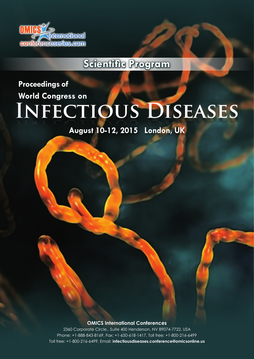

**Scientific Program**

**Infectious Diseases Infectious Diseases Proceedings of World Congress on**

**August 10-12, 2015 London, UK**

**OMICS International Conferences**

2360 Corporate Circle., Suite 400 Henderson, NV 89074-7722, USA Phone: +1-888-843-8169, Fax: +1-650-618-1417, Toll free: +1-800-216-6499 Toll free: +1-800-216-6499, Email: **infectiousdiseases.conference@omicsonline.us**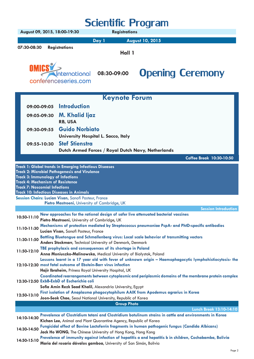| <b>Scientific Program</b>                                                                                                   |                              |                                                                                                                                                                 |                                                                                                                                  |                                                                                                          |                                |  |
|-----------------------------------------------------------------------------------------------------------------------------|------------------------------|-----------------------------------------------------------------------------------------------------------------------------------------------------------------|----------------------------------------------------------------------------------------------------------------------------------|----------------------------------------------------------------------------------------------------------|--------------------------------|--|
|                                                                                                                             | August 09, 2015, 18:00-19:30 |                                                                                                                                                                 | <b>Registrations</b>                                                                                                             |                                                                                                          |                                |  |
|                                                                                                                             |                              |                                                                                                                                                                 | Day 1                                                                                                                            | <b>August 10, 2015</b>                                                                                   |                                |  |
| 07:30-08:30                                                                                                                 | <b>Registrations</b>         |                                                                                                                                                                 | Hall 1                                                                                                                           |                                                                                                          |                                |  |
|                                                                                                                             | OMICS                        | International<br>conferenceseries.com                                                                                                                           | 08:30-09:00                                                                                                                      | <b>Opening Ceremony</b>                                                                                  |                                |  |
|                                                                                                                             |                              |                                                                                                                                                                 | <b>Keynote Forum</b>                                                                                                             |                                                                                                          |                                |  |
|                                                                                                                             | 09:00-09:05                  | <b>Introduction</b>                                                                                                                                             |                                                                                                                                  |                                                                                                          |                                |  |
|                                                                                                                             | 09:05-09:30                  | M. Khalid ljaz<br><b>RB, USA</b>                                                                                                                                |                                                                                                                                  |                                                                                                          |                                |  |
|                                                                                                                             | 09:30-09:55                  | <b>Guido Norbiato</b>                                                                                                                                           | University Hospital L. Sacco, Italy                                                                                              |                                                                                                          |                                |  |
|                                                                                                                             | 09:55-10:30                  | <b>Stef Stienstra</b>                                                                                                                                           |                                                                                                                                  |                                                                                                          |                                |  |
|                                                                                                                             |                              |                                                                                                                                                                 | Dutch Armed Forces / Royal Dutch Navy, Netherlands                                                                               |                                                                                                          |                                |  |
|                                                                                                                             |                              | <b>Track 1: Global trends in Emerging Infectious Diseases</b>                                                                                                   |                                                                                                                                  |                                                                                                          | Coffee Break 10:30-10:50       |  |
| <b>Track 3: Immunology of Infections</b><br><b>Track 4: Mechanism of Resistance</b><br><b>Track 7: Noscomial Infections</b> |                              | <b>Track 2: Microbial Pathogenesis and Virulence</b><br><b>Track 10: Infectious Diseases in Animals</b><br>Session Chairs: Lucian Visan, Sanofi Pasteur, France |                                                                                                                                  |                                                                                                          |                                |  |
|                                                                                                                             |                              | Pietro Mastroeni, University of Cambridge, UK                                                                                                                   |                                                                                                                                  |                                                                                                          | <b>Session Introduction</b>    |  |
| 10:50-11:10                                                                                                                 |                              |                                                                                                                                                                 |                                                                                                                                  | New approaches for the rational design of safer live attenuated bacterial vaccines                       |                                |  |
| 11:10-11:30                                                                                                                 |                              | Pietro Mastroeni, University of Cambridge, UK<br>Lucian Visan, Sanofi Pasteur, France                                                                           |                                                                                                                                  | Mechanisms of protection mediated by Streptococcus pneumoniae PcpA- and PhtD-specific antibodies         |                                |  |
| 11:30-11:50                                                                                                                 |                              |                                                                                                                                                                 | Anders Stockmarr, Technical University of Denmark, Denmark                                                                       | Battling Bluetongue and Schmallenberg virus: Local scale behavior of transmitting vectors                |                                |  |
| 11:50-12:10                                                                                                                 |                              |                                                                                                                                                                 | TBE prophylaxis and consequences of its shortage in Poland<br>Anna Moniuszko-Malinowska, Medical University of Białystok, Poland |                                                                                                          |                                |  |
|                                                                                                                             |                              |                                                                                                                                                                 | 12:10-12:30 most fatal outcome of Ebstein-Barr virus infection<br>Hajir Ibraheim, Priness Royal University Hospital, UK          | Lessons learnt in a 17 year old with fever of unknown origin - Haemophagocytic lymphohistiocytosis- the  |                                |  |
|                                                                                                                             |                              | 12:30-12:50 ExbB-ExbD of Escherichia coli                                                                                                                       | Sofia Amin Rezk Saad Khalil, Alexandria University, Egypt                                                                        | Coordinated rearrangements between cytoplasmic and periplasmic domains of the membrane protein complex   |                                |  |
| 12:50-13:10                                                                                                                 |                              |                                                                                                                                                                 | Joon-Seok Chae, Seoul National University, Republic of Korea                                                                     | First isolation of Anaplasma phagocytophilum AAIK from Apodemus agrarius in Korea                        |                                |  |
|                                                                                                                             |                              |                                                                                                                                                                 | <b>Group Photo</b>                                                                                                               |                                                                                                          | <b>Lunch Break 13:10-14:10</b> |  |
| 14:10-14:30                                                                                                                 |                              |                                                                                                                                                                 | Kichan Lee, Animal and Plant Quarantine Agency, Republic of Korea                                                                | Prevalence of Clostridium tetani and Clostridium botulinum strains in cattle and environments in Korea   |                                |  |
| 14:30-14:50                                                                                                                 |                              |                                                                                                                                                                 | Jack Ho WONG, The Chinese University of Hong Kong, Hong Kong                                                                     | Fungicidal effect of Bovine Lactoferrin fragments in human pathogenic fungus (Candida Albicans)          |                                |  |
| 14:50-15:10                                                                                                                 |                              |                                                                                                                                                                 | Maria del rosario dávalos gamboa, University of San Simón, Bolivia                                                               | Prevalence of immunity against infection of hepatitis a and hepatitis b in children, Cochabamba, Bolivia |                                |  |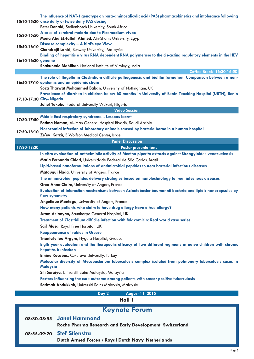|                    | The influence of NAT-1 genotype on para-aminosalicylic acid (PAS) pharmacokinetics and intolerance following<br>15:10-15:30 once daily or twice daily PAS dosing<br>Peter Donald, Stellenbosch University, South Africa |  |  |  |  |
|--------------------|-------------------------------------------------------------------------------------------------------------------------------------------------------------------------------------------------------------------------|--|--|--|--|
|                    | A case of cerebral malaria due to Plasmodium vivax                                                                                                                                                                      |  |  |  |  |
| 15:30-15:50        | Mona Abd EL-fattah Ahmed, Ain-Shams University, Egypt                                                                                                                                                                   |  |  |  |  |
| 15:50-16:10        | Disease complexity - A bird's eye View                                                                                                                                                                                  |  |  |  |  |
|                    | Chandrajit Lahiri, Sunway University, Malaysia                                                                                                                                                                          |  |  |  |  |
| 16:10-16:30 genome | Binding of hepatitis e virus RNA dependent RNA polymerase to the cis-acting regulatory elements in the HEV                                                                                                              |  |  |  |  |
|                    | Shakuntala Mahilkar, National Institute of Virology, India                                                                                                                                                              |  |  |  |  |
|                    | Coffee Break 16:30-16:50                                                                                                                                                                                                |  |  |  |  |
|                    | The role of flagella in Clostridium difficile pathogenesis and biofilm formation: Comparison between a non-                                                                                                             |  |  |  |  |
|                    | 16:50-17:10 epidemic and an epidemic strain<br>Soza Tharwat Mohammed Baban, University of Nottingham, UK                                                                                                                |  |  |  |  |
|                    | Prevalence of diarrhea in children below 60 months in University of Benin Teaching Hospital (UBTH), Benin                                                                                                               |  |  |  |  |
|                    | 17:10-17:30 City- Nigeria                                                                                                                                                                                               |  |  |  |  |
|                    | Juliet Yakubu, Federal University Wukari, Nigeria                                                                                                                                                                       |  |  |  |  |
|                    | <b>Video Session</b>                                                                                                                                                                                                    |  |  |  |  |
| 17:30-17:50        | Middle East respiratory syndrome Lessons learnt                                                                                                                                                                         |  |  |  |  |
|                    | Fatima Noman, Al-Iman General Hospital Riyadh, Saudi Arabia                                                                                                                                                             |  |  |  |  |
| 17:50-18:10        | Nosocomial infection of laboratory animals caused by bacteria borne in a human hospital                                                                                                                                 |  |  |  |  |
|                    | Ze'ev Katzir, E Wolfson Medical Center, Israel                                                                                                                                                                          |  |  |  |  |
|                    | <b>Panel Discussion</b>                                                                                                                                                                                                 |  |  |  |  |
| 17:30-18:30        | <b>Poster presentations</b>                                                                                                                                                                                             |  |  |  |  |
|                    | In vitro evaluation of anthelmintic activity of Mentha piperita extracts against Strongyloides venezuelensis                                                                                                            |  |  |  |  |
|                    | Maria Fernanda Chiari, Universidade Federal de São Carlos, Brasil                                                                                                                                                       |  |  |  |  |
|                    | Lipid-based nanoformulations of antimicrobial peptides to treat bacterial infectious diseases                                                                                                                           |  |  |  |  |
|                    | Matougui Nada, University of Angers, France                                                                                                                                                                             |  |  |  |  |
|                    | The antimicrobial peptides delivery strategies based on nanotechnology to treat infectious diseases                                                                                                                     |  |  |  |  |
|                    | Groo Anne-Claire, University of Angers, France                                                                                                                                                                          |  |  |  |  |
|                    | Evaluation of interaction mechanisms between Acinetobacter baumannii bacteria and lipidic nanocapsules by<br>flow cytometry                                                                                             |  |  |  |  |
|                    | Angelique Montagu, University of Angers, France                                                                                                                                                                         |  |  |  |  |
|                    | How many patients who claim to have drug allergy have a true allergy?                                                                                                                                                   |  |  |  |  |
|                    | Aram Aslanyan, Scunthorpe General Hospital, UK                                                                                                                                                                          |  |  |  |  |
|                    | Treatment of Clostridium difficile infection with fidaxomicin: Real world case series                                                                                                                                   |  |  |  |  |
|                    | Saif Musa, Royal Free Hospital, UK                                                                                                                                                                                      |  |  |  |  |
|                    | <b>Reappearance of rabies in Greece</b>                                                                                                                                                                                 |  |  |  |  |
|                    | Triantafyllou Argyro, Hygeia Hospital, Greece                                                                                                                                                                           |  |  |  |  |
|                    | Eigth year evaluation and the therapeutic efficacy of two different regimens in naive children with chronic<br>hepatitis b infection                                                                                    |  |  |  |  |
|                    | Emine Kocabas, Cukurova University, Turkey<br>Molecular diversity of Mycobacterium tuberculosis complex isolated from pulmonary tuberculosis cases in<br><b>Malaysia</b>                                                |  |  |  |  |
|                    | Siti Suraiya, Universiti Sains Malaysia, Malaysia                                                                                                                                                                       |  |  |  |  |
|                    | Factors influencing the cure outcome among patients with smear positive tuberculosis                                                                                                                                    |  |  |  |  |
|                    | Sarimah Abdukkah, Universiti Sains Malaysia, Malaysia                                                                                                                                                                   |  |  |  |  |
|                    |                                                                                                                                                                                                                         |  |  |  |  |
|                    | August 11, 2015<br>Day 2                                                                                                                                                                                                |  |  |  |  |
| Hall 1             |                                                                                                                                                                                                                         |  |  |  |  |
|                    | <b>Keynote Forum</b>                                                                                                                                                                                                    |  |  |  |  |
|                    | <b>Janet Hammond</b><br>08:30-08:55                                                                                                                                                                                     |  |  |  |  |
|                    | Roche Pharma Research and Early Development, Switzerland                                                                                                                                                                |  |  |  |  |
|                    | <b>Stef Stienstra</b>                                                                                                                                                                                                   |  |  |  |  |
|                    | 08:55-09:20                                                                                                                                                                                                             |  |  |  |  |
|                    | Dutch Armed Forces / Royal Dutch Navy, Netherlands                                                                                                                                                                      |  |  |  |  |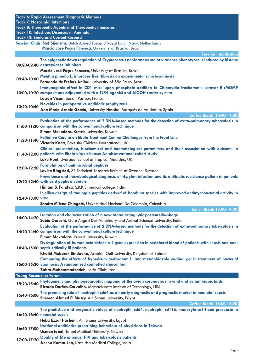| <b>Track 6: Rapid Assessment Diagnostic Methods</b> |                                                                                                                                                |  |  |  |
|-----------------------------------------------------|------------------------------------------------------------------------------------------------------------------------------------------------|--|--|--|
|                                                     | <b>Track 7: Noscomial Infections</b>                                                                                                           |  |  |  |
|                                                     | <b>Track 8: Therapeutic Agents and Therapeutic measures</b>                                                                                    |  |  |  |
|                                                     | <b>Track 10: Infectious Diseases in Animals</b>                                                                                                |  |  |  |
|                                                     | <b>Track 13: Ebola and Current Research</b>                                                                                                    |  |  |  |
|                                                     | Session Chair: Stef Stienstra, Dutch Armed Forces / Royal Dutch Navy, Netherlands<br>Marcio José Poças Fonseca, University of Brasilia, Brazil |  |  |  |
|                                                     | <b>Session Introduction</b>                                                                                                                    |  |  |  |
|                                                     | The epigenetic down regulation of Cryptococcus neoformans major virulence phenotypes is induced by histone                                     |  |  |  |
|                                                     | 09:20-09:40 deacetylases inhibitors                                                                                                            |  |  |  |
|                                                     | Marcio José Poças Fonseca, University of Brasilia, Brazil                                                                                      |  |  |  |
|                                                     | Mentha piperita L. improves liver fibrosis on experimental schistosomiasis                                                                     |  |  |  |
| 09:40-10:00                                         | Fernanda de Freitas Anibal, University of São Paulo, Brazil                                                                                    |  |  |  |
|                                                     | Immunogenic effect in CD1 mice upon phosphate addition to Chlamydia trachomatis serovar E rMOMP                                                |  |  |  |
|                                                     | 10:00-10:20 compositions adjuvanted with a TLR4 agonist and AIOOH carrier system                                                               |  |  |  |
|                                                     | Lucian Visan, Sanofi Pasteur, France                                                                                                           |  |  |  |
| 10:20-10:40                                         | Novelties in perioperative antibiotic prophylaxis                                                                                              |  |  |  |
|                                                     | Ana María Arnaiz-García, University Hospital Marqués de Valdecilla, Spain                                                                      |  |  |  |
|                                                     | Coffee Break 10:40-11:00                                                                                                                       |  |  |  |
|                                                     | Evaluation of the performance of 2 DNA-based methods for the detection of extra-pulmonary tuberculosis in                                      |  |  |  |
|                                                     | 11:00-11:20 comparison with the conventional culture technique                                                                                 |  |  |  |
|                                                     | Eiman Mokaddas, Kuwait University, Kuwait                                                                                                      |  |  |  |
| 11:20-11:40                                         | Palliative Care in an Ebola Treatment Centre: Challenges from the Front Line<br>Victoria Knott, Save the Children International, UK            |  |  |  |
|                                                     | Clinical presentation, biochemical and haematological parameters and their association with outcome in                                         |  |  |  |
|                                                     | 11:40-12:00 patients with Ebola virus disease: An observational cohort study                                                                   |  |  |  |
|                                                     | Luke Hunt, Liverpool School of Tropical Medicine, UK                                                                                           |  |  |  |
|                                                     | <b>Formulation of antimicrobial peptides</b>                                                                                                   |  |  |  |
| 12:00-12:20                                         | Lovisa Ringstad, SP Technical Research Institute of Sweden, Sweden                                                                             |  |  |  |
|                                                     | Prevalence and microbiological diagnosis of H.pylori infection and its antibiotic resistance pattern in patients                               |  |  |  |
|                                                     | 12:20-12:40 with acid-peptic disorders                                                                                                         |  |  |  |
|                                                     | Himani B. Pandya, S.B.K.S medical college, India                                                                                               |  |  |  |
|                                                     | In silico design of analogue peptides derived of bombina species with improved antimycobacterial activity in                                   |  |  |  |
| 12:40-13:00 vitro                                   |                                                                                                                                                |  |  |  |
|                                                     | Sandra Milena Chingaté, Universidad Nacional De Colombia, Colombia<br>Lunch Break 13:00-14:00                                                  |  |  |  |
|                                                     | Isolation and characterization of a new broad acting lytic pasteurella-phage                                                                   |  |  |  |
| 14:00-14:20                                         | Sabia Qureshi, Guru Angad Dev Veterinary and Animal Sciences University, India                                                                 |  |  |  |
|                                                     | Evaluation of the performance of 2 DNA-based methods for the detection of extra-pulmonary tuberculosis in                                      |  |  |  |
|                                                     | 14:20-14:40 comparison with the conventional culture technique                                                                                 |  |  |  |
|                                                     | Eiman Mokaddas, Kuwait University, Kuwait                                                                                                      |  |  |  |
|                                                     | Dysregulation of human beta defensin-2 gene expression in peripheral blood of patients with sepsis and non-                                    |  |  |  |
|                                                     | 14:40-15:00 septic critically ill patients                                                                                                     |  |  |  |
|                                                     | Khalid Mubarak Bindayna, Arabian Gulf University, Kingdom of Bahrain                                                                           |  |  |  |
|                                                     | Comparing the effects of hypericum perforatum L. and metronidazole vaginal gel in treatment of bacterial                                       |  |  |  |
|                                                     | 15:00-15:20 vaginosis: A randomised controlled clinical trial                                                                                  |  |  |  |
|                                                     | Zahra Mohammadzadeh, Jolfa Clinic, Iran                                                                                                        |  |  |  |
| <b>Young Researcher Forum</b>                       | Phylogenetic and phylogeographic mapping of the avian coronavirus in wild and synanthropic birds                                               |  |  |  |
| 15:20-15:40                                         | Ricardo Durães-Carvalho, Massachusetts Institute of Technology, USA                                                                            |  |  |  |
|                                                     | The promising rule of neutrophil cd64 as an early diagnostic and prognostic marker in neonatal sepsis                                          |  |  |  |
| 15:40-16:00                                         | Shereen Ahmed El Masry, Ain Shams University, Egypt                                                                                            |  |  |  |
|                                                     | Coffee Break 16:00-16:20                                                                                                                       |  |  |  |
|                                                     | The predictive and prognostic values of neutrophil cd64, neutrophil cd11b, monocyte cd14 and presepsin in                                      |  |  |  |
|                                                     | 16:20-16:40 neonatal sepsis                                                                                                                    |  |  |  |
|                                                     | Heba Ezzat Hashem, Ain Shams University, Egypt                                                                                                 |  |  |  |
| 16:40-17:00                                         | Irrational antibiotics prescribing behaviour of physicians in Taiwan                                                                           |  |  |  |
|                                                     | <b>Usman Iqbal, Taipei Medical University, Taiwan</b>                                                                                          |  |  |  |
| 17:00-17:20                                         | <b>Quality of life amongst HIV and tuberculosis patients</b>                                                                                   |  |  |  |
|                                                     | Anshu Kumar Jha, Kasturba Medical College, India                                                                                               |  |  |  |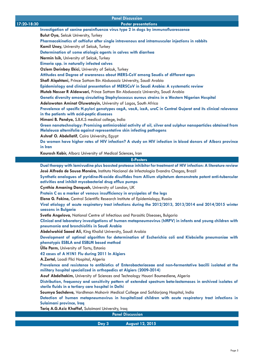|             | <b>Panel Discussion</b>                                                                                                                                                            |
|-------------|------------------------------------------------------------------------------------------------------------------------------------------------------------------------------------|
| 17:20-18:30 | <b>Poster presentations</b>                                                                                                                                                        |
|             | Investigation of canine parainfluenza virus type 2 in dogs by immunofluorescence                                                                                                   |
|             | <b>Bulut Oya, Selcuk University, Turkey</b>                                                                                                                                        |
|             | Pharmacokinetics of ceftiofur after single intravenous and intramuscular injections in rabbits                                                                                     |
|             | Kamil Uney, University of Selcuk, Turkey                                                                                                                                           |
|             | Determination of some etiologic agents in calves with diarrhea<br>Nermin Isik, University of Selcuk, Turkey                                                                        |
|             | Eimeria spp. in naturally infected calves                                                                                                                                          |
|             | Ozlem Derinbay Ekici, University of Selcuk, Turkey                                                                                                                                 |
|             | Attitudes and Degree of awareness about MERS-CoV among Saudis of different ages                                                                                                    |
|             | Shafi Alqahtani, Prince Sattam Bin Abduaaziz University, Saudi Arabia                                                                                                              |
|             | Epidemiology and clinical presentation of MERSCoV in Saudi Arabia: A systematic review                                                                                             |
|             | Muteb Nasser R Aldawsari, Prince Sattam Bin Abduaaziz University, Saudi Arabia                                                                                                     |
|             | Genetic diversity among circulating Staphylococcus aureus strains in a Western Nigerian Hospital                                                                                   |
|             | Adelowotan Aminat Oluwatoyin, University of Lagos, South Africa                                                                                                                    |
|             | Prevalence of specific H.pylori genotypes cagA, vacA, iceA, ureC in Central Gujarat and its clinical relevance<br>in the patients with acid-peptic diseases                        |
|             | Himani B. Pandya, S.B.K.S medical college, India                                                                                                                                   |
|             | Green nanotechnology: Promising antimicrobial activity of oil, silver and sulphur nanoparticles obtained from                                                                      |
|             | Melaleuca alternifolia against representative skin infecting pathogens                                                                                                             |
|             | Ashraf O. Abdellatif, Cairo University, Egypt                                                                                                                                      |
|             | Do women have higher rates of HIV infection? A study on HIV infection in blood donors of Alborz province<br>in Iran                                                                |
|             | Kourosh Kabir, Alborz University of Medical Sciences, Iran                                                                                                                         |
|             | <b>E-Posters</b>                                                                                                                                                                   |
|             | Dual therapy with lamivudine plus boosted protease inhibitor for treatment of HIV infection: A literature review                                                                   |
|             | José Alfredo de Sousa Moreira, Instituto Nacional de Infectologia Evandro Chagas, Brazil                                                                                           |
|             | Synthetic analogues of pyridine-N-oxide disulfides from Allium stipitatum demonstrate potent anti-tubercular<br>activities and inhibit mycobacterial drug efflux pumps             |
|             | Cynthia Amaning Danquah, University of London, UK                                                                                                                                  |
|             | Protein C as a marker of venous insufficiency in erysipelas of the legs                                                                                                            |
|             | Elena G. Fokina, Central Scientific Research Institute of Epidemiology, Russia                                                                                                     |
|             | Viral etiology of acute respiratory tract infections during the 2012/2013, 2013/2014 and 2014/2015 winter<br>seasons in Bulgaria                                                   |
|             | Svetla Angelova, National Centre of Infectious and Parasitic Diseases, Bulgaria                                                                                                    |
|             | Clinical and laboratory investigations of human metapneumovirus (hMPV) in infants and young children with<br>pneumonia and bronchiolitis in Saudi Arabia                           |
|             | Abdelwahid Saeed Ali, King Khalid University, Saudi Arabia                                                                                                                         |
|             | Development of optimal algorithm for determination of Escherichia coli and Klebsiella pneumoniae with<br>phenotypic ESBLA and ESBLM based method                                   |
|             | <b>Ülle Parm, University of Tartu, Estonia</b>                                                                                                                                     |
|             | 42 cases of A H1N1 Flu during 2011 In Algiers                                                                                                                                      |
|             | A.Zertal, Laadi Flici Hospital, Algeria                                                                                                                                            |
|             | Prevalence and resistance to antibiotics of Enterobacteriaceae and non-fermentative bacilli isolated at the<br>military hospital specialized in orthopedics at Algiers (2009-2014) |
|             | Aouf Abdelhakim, University of Sciences and Technology Houari Boumediene, Algeria                                                                                                  |
|             | Distribution, frequency and sensitivity pattern of extended spectrum beta-lactamases in archived isolates of<br>sterile fluids in a tertiary care hospital in Delhi                |
|             | Soumya Sachdeva, Vardhman Mahavir Medical College and Safdarjang Hospital, India                                                                                                   |
|             | Detection of human metapneumovirus in hospitalized children with acute respiratory tract infections in                                                                             |
|             | Sulaimani province, Iraq                                                                                                                                                           |
|             | Tariq A.G.Aziz Khaffaf, Sulaimani University, Iraq                                                                                                                                 |
|             | <b>Panel Discussion</b>                                                                                                                                                            |
|             | Day 3<br>August 12, 2015                                                                                                                                                           |